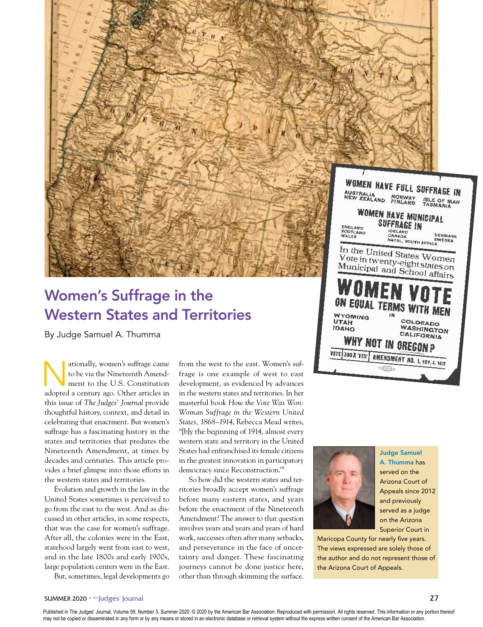

# Women's Suffrage in the Western States and Territories

By Judge Samuel A. Thumma

ationally, women's suffrage came<br>to be via the Nineteenth Amendment to the U.S. Constitution to be via the Nineteenth Amendment to the U.S. Constitution adopted a century ago. Other articles in this issue of *The Judges' Journal* provide thoughtful history, context, and detail in celebrating that enactment. But women's suffrage has a fascinating history in the states and territories that predates the Nineteenth Amendment, at times by decades and centuries. This article provides a brief glimpse into those efforts in the western states and territories.

Evolution and growth in the law in the United States sometimes is perceived to go from the east to the west. And as discussed in other articles, in some respects, that was the case for women's suffrage. After all, the colonies were in the East, statehood largely went from east to west, and in the late 1800s and early 1900s, large population centers were in the East. But, sometimes, legal developments go from the west to the east. Women's suffrage is one example of west to east development, as evidenced by advances in the western states and territories. In her masterful book *How the Vote Was Won: Woman Suffrage in the Western United States, 1868–1914*, Rebecca Mead writes, "[b]y the beginning of 1914, almost every western state and territory in the United States had enfranchised its female citizens in the greatest innovation in participatory democracy since Reconstruction."1

So how did the western states and territories broadly accept women's suffrage before many eastern states, and years before the enactment of the Nineteenth Amendment? The answer to that question involves years and years and years of hard work, successes often after many setbacks, and perseverance in the face of uncertainty and danger. These fascinating journeys cannot be done justice here, other than through skimming the surface.



Judge Samuel A. Thumma has served on the Arizona Court of Appeals since 2012 and previously served as a judge on the Arizona Superior Court in

Maricopa County for nearly five years. The views expressed are solely those of the author and do not represent those of the Arizona Court of Appeals.

ON EQUAL TERMS WITH

**WHY NOT IN OREGON?** VOTE 300 X'YES' AMENDMENT NO. 1, NOV. 5, 1912

**WYOMING** UTAH

**IDAHO** 



ISLE OF MAN<br>TASMANIA

DENMARK

**SWEDEN** 

COLORADO WASHINGTON

CALIFORNIA

Published in The Judges' Journal, Volume 59, Number 3, Summer 2020. © 2020 by the American Bar Association. Reproduced with permission. All rights reserved. This information or any portion thereof may not be copied or disseminated in any form or by any means or stored in an electronic database or retrieval system without the express written consent of the American Bar Association.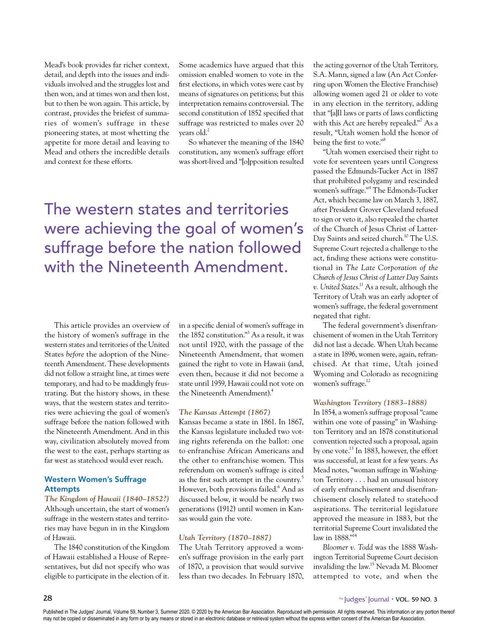Mead's book provides far richer context, detail, and depth into the issues and individuals involved and the struggles lost and then won, and at times won and then lost, but to then be won again. This article, by contrast, provides the briefest of summaries of women's suffrage in these pioneering states, at most whetting the appetite for more detail and leaving to Mead and others the incredible details and context for these efforts.

Some academics have argued that this omission enabled women to vote in the first elections, in which votes were cast by means of signatures on petitions; but this interpretation remains controversial. The second constitution of 1852 specified that suffrage was restricted to males over 20 years old.<sup>2</sup>

So whatever the meaning of the 1840 constitution, any women's suffrage effort was short-lived and "[o]pposition resulted

The western states and territories were achieving the goal of women's suffrage before the nation followed with the Nineteenth Amendment.

This article provides an overview of the history of women's suffrage in the western states and territories of the United States *before* the adoption of the Nineteenth Amendment. These developments did not follow a straight line, at times were temporary, and had to be maddingly frustrating. But the history shows, in these ways, that the western states and territories were achieving the goal of women's suffrage before the nation followed with the Nineteenth Amendment. And in this way, civilization absolutely moved from the west to the east, perhaps starting as far west as statehood would ever reach.

# Western Women's Suffrage Attempts

*The Kingdom of Hawaii (1840–1852?)* Although uncertain, the start of women's suffrage in the western states and territories may have begun in in the Kingdom of Hawaii.

The 1840 constitution of the Kingdom of Hawaii established a House of Representatives, but did not specify who was eligible to participate in the election of it.

in a specific denial of women's suffrage in the 1852 constitution."3 As a result, it was not until 1920, with the passage of the Nineteenth Amendment, that women gained the right to vote in Hawaii (and, even then, because it did not become a state until 1959, Hawaii could not vote on the Nineteenth Amendment).4

# *The Kansas Attempt (1867)*

Kansas became a state in 1861. In 1867, the Kansas legislature included two voting rights referenda on the ballot: one to enfranchise African Americans and the other to enfranchise women. This referendum on women's suffrage is cited as the first such attempt in the country.<sup>5</sup> However, both provisions failed.<sup>6</sup> And as discussed below, it would be nearly two generations (1912) until women in Kansas would gain the vote.

### *Utah Territory (1870–1887)*

The Utah Territory approved a women's suffrage provision in the early part of 1870, a provision that would survive less than two decades. In February 1870,

the acting governor of the Utah Territory, S.A. Mann, signed a law (An Act Conferring upon Women the Elective Franchise) allowing women aged 21 or older to vote in any election in the territory, adding that "[a]ll laws or parts of laws conflicting with this Act are hereby repealed."<sup>7</sup> As a result, "Utah women hold the honor of being the first to vote."8

"Utah women exercised their right to vote for seventeen years until Congress passed the Edmunds-Tucker Act in 1887 that prohibited polygamy and rescinded women's suffrage."<sup>9</sup> The Edmonds-Tucker Act, which became law on March 3, 1887, after President Grover Cleveland refused to sign or veto it, also repealed the charter of the Church of Jesus Christ of Latter-Day Saints and seized church.<sup>10</sup> The U.S. Supreme Court rejected a challenge to the act, finding these actions were constitutional in *The Late Corporation of the Church of Jesus Christ of Latter Day Saints v. United States*. 11 As a result, although the Territory of Utah was an early adopter of women's suffrage, the federal government negated that right.

The federal government's disenfranchisement of women in the Utah Territory did not last a decade. When Utah became a state in 1896, women were, again, refranchised. At that time, Utah joined Wyoming and Colorado as recognizing women's suffrage.<sup>12</sup>

# *Washington Territory (1883–1888)*

In 1854, a women's suffrage proposal "came within one vote of passing" in Washington Territory and an 1878 constitutional convention rejected such a proposal, again by one vote.<sup>13</sup> In 1883, however, the effort was successful, at least for a few years. As Mead notes, "woman suffrage in Washington Territory . . . had an unusual history of early enfranchisement and disenfranchisement closely related to statehood aspirations. The territorial legislature approved the measure in 1883, but the territorial Supreme Court invalidated the law in 1888."<sup>14</sup>

*Bloomer v. Todd* was the 1888 Washington Territorial Supreme Court decision invaliding the law.15 Nevada M. Bloomer attempted to vote, and when the

Published in The Judges' Journal, Volume 59, Number 3, Summer 2020. © 2020 by the American Bar Association. Reproduced with permission. All rights reserved. This information or any portion thereof may not be copied or disseminated in any form or by any means or stored in an electronic database or retrieval system without the express written consent of the American Bar Association.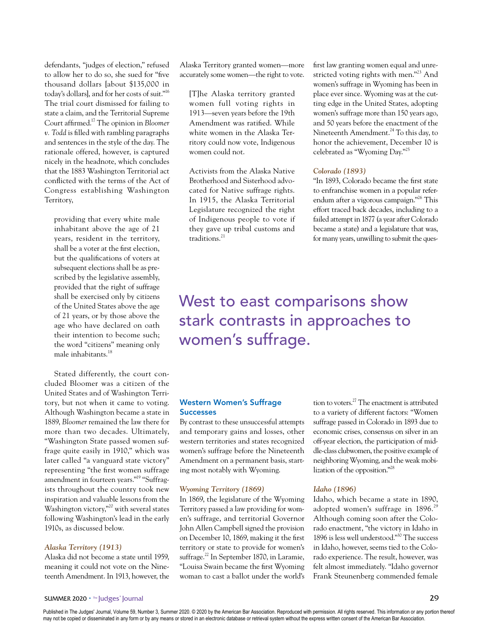defendants, "judges of election," refused to allow her to do so, she sued for "five thousand dollars [about \$135,000 in today's dollars], and for her costs of suit."16 The trial court dismissed for failing to state a claim, and the Territorial Supreme Court affirmed.17 The opinion in *Bloomer v. Todd* is filled with rambling paragraphs and sentences in the style of the day. The rationale offered, however, is captured nicely in the headnote, which concludes that the 1883 Washington Territorial act conflicted with the terms of the Act of Congress establishing Washington Territory,

providing that every white male inhabitant above the age of 21 years, resident in the territory, shall be a voter at the first election, but the qualifications of voters at subsequent elections shall be as prescribed by the legislative assembly, provided that the right of suffrage shall be exercised only by citizens of the United States above the age of 21 years, or by those above the age who have declared on oath their intention to become such; the word "citizens" meaning only male inhabitants.18

Stated differently, the court concluded Bloomer was a citizen of the United States and of Washington Territory, but not when it came to voting. Although Washington became a state in 1889, *Bloomer* remained the law there for more than two decades. Ultimately, "Washington State passed women suffrage quite easily in 1910," which was later called "a vanguard state victory" representing "the first women suffrage amendment in fourteen years."19 "Suffragists throughout the country took new inspiration and valuable lessons from the Washington victory,"<sup>20</sup> with several states following Washington's lead in the early 1910s, as discussed below.

# *Alaska Territory (1913)*

Alaska did not become a state until 1959, meaning it could not vote on the Nineteenth Amendment. In 1913, however, the

Alaska Territory granted women—more accurately some women—the right to vote.

[T]he Alaska territory granted women full voting rights in 1913—seven years before the 19th Amendment was ratified. While white women in the Alaska Territory could now vote, Indigenous women could not.

Activists from the Alaska Native Brotherhood and Sisterhood advocated for Native suffrage rights. In 1915, the Alaska Territorial Legislature recognized the right of Indigenous people to vote if they gave up tribal customs and traditions.<sup>21</sup>

first law granting women equal and unrestricted voting rights with men."23 And women's suffrage in Wyoming has been in place ever since. Wyoming was at the cutting edge in the United States, adopting women's suffrage more than 150 years ago, and 50 years before the enactment of the Nineteenth Amendment.<sup>24</sup> To this day, to honor the achievement, December 10 is celebrated as "Wyoming Day."25

### *Colorado (1893)*

"In 1893, Colorado became the first state to enfranchise women in a popular referendum after a vigorous campaign."26 This effort traced back decades, including to a failed attempt in 1877 (a year after Colorado became a state) and a legislature that was, for many years, unwilling to submit the ques-

# West to east comparisons show stark contrasts in approaches to women's suffrage.

# Western Women's Suffrage **Successes**

By contrast to these unsuccessful attempts and temporary gains and losses, other western territories and states recognized women's suffrage before the Nineteenth Amendment on a permanent basis, starting most notably with Wyoming.

### *Wyoming Territory (1869)*

In 1869, the legislature of the Wyoming Territory passed a law providing for women's suffrage, and territorial Governor John Allen Campbell signed the provision on December 10, 1869, making it the first territory or state to provide for women's suffrage.<sup>22</sup> In September 1870, in Laramie, "Louisa Swain became the first Wyoming woman to cast a ballot under the world's tion to voters.27 The enactment is attributed to a variety of different factors: "Women suffrage passed in Colorado in 1893 due to economic crises, consensus on silver in an off-year election, the participation of middle-class clubwomen, the positive example of neighboring Wyoming, and the weak mobilization of the opposition."28

# *Idaho (1896)*

Idaho, which became a state in 1890, adopted women's suffrage in  $1896$ <sup>29</sup> Although coming soon after the Colorado enactment, "the victory in Idaho in 1896 is less well understood."30 The success in Idaho, however, seems tied to the Colorado experience. The result, however, was felt almost immediately. "Idaho governor Frank Steunenberg commended female

Published in The Judges' Journal, Volume 59, Number 3, Summer 2020. © 2020 by the American Bar Association. Reproduced with permission. All rights reserved. This information or any portion thereof may not be copied or disseminated in any form or by any means or stored in an electronic database or retrieval system without the express written consent of the American Bar Association.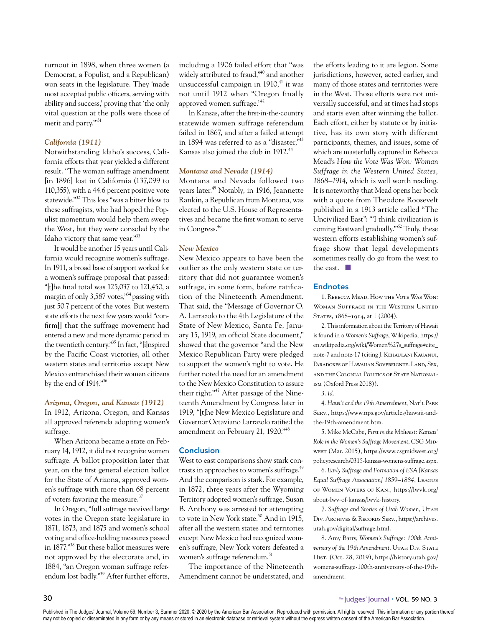turnout in 1898, when three women (a Democrat, a Populist, and a Republican) won seats in the legislature. They 'made most accepted public officers, serving with ability and success,' proving that 'the only vital question at the polls were those of merit and party."<sup>31</sup>

# *California (1911)*

Notwithstanding Idaho's success, California efforts that year yielded a different result. "The woman suffrage amendment [in 1896] lost in California (137,099 to 110,355), with a 44.6 percent positive vote statewide."32 This loss "was a bitter blow to these suffragists, who had hoped the Populist momentum would help them sweep the West, but they were consoled by the Idaho victory that same year."<sup>33</sup>

It would be another 15 years until California would recognize women's suffrage. In 1911, a broad base of support worked for a women's suffrage proposal that passed: "[t]he final total was 125,037 to 121,450, a margin of only 3,587 votes,"<sup>34</sup> passing with just 50.7 percent of the votes. But western state efforts the next few years would "confirm[] that the suffrage movement had entered a new and more dynamic period in the twentieth century."35 In fact, "[i]nspired by the Pacific Coast victories, all other western states and territories except New Mexico enfranchised their women citizens by the end of 1914."36

#### *Arizona, Oregon, and Kansas (1912)*

In 1912, Arizona, Oregon, and Kansas all approved referenda adopting women's suffrage.

When Arizona became a state on February 14, 1912, it did not recognize women suffrage. A ballot proposition later that year, on the first general election ballot for the State of Arizona, approved women's suffrage with more than 68 percent of voters favoring the measure.<sup>37</sup>

In Oregon, "full suffrage received large votes in the Oregon state legislature in 1871, 1873, and 1875 and women's school voting and office-holding measures passed in 1877."38 But these ballot measures were not approved by the electorate and, in 1884, "an Oregon woman suffrage referendum lost badly."39 After further efforts, including a 1906 failed effort that "was widely attributed to fraud,<sup>"40</sup> and another unsuccessful campaign in 1910,<sup>41</sup> it was not until 1912 when "Oregon finally approved women suffrage."42

In Kansas, after the first-in-the-country statewide women suffrage referendum failed in 1867, and after a failed attempt in 1894 was referred to as a "disaster,"<sup>43</sup> Kansas also joined the club in 1912.44

#### *Montana and Nevada (1914)*

Montana and Nevada followed two vears later.<sup>45</sup> Notably, in 1916, Jeannette Rankin, a Republican from Montana, was elected to the U.S. House of Representatives and became the first woman to serve in Congress.46

# *New Mexico*

New Mexico appears to have been the outlier as the only western state or territory that did not guarantee women's suffrage, in some form, before ratification of the Nineteenth Amendment. That said, the "Message of Governor O. A. Larrazolo to the 4th Legislature of the State of New Mexico, Santa Fe, January 15, 1919, an official State document," showed that the governor "and the New Mexico Republican Party were pledged to support the women's right to vote. He further noted the need for an amendment to the New Mexico Constitution to assure their right."<sup>47</sup> After passage of the Nineteenth Amendment by Congress later in 1919, "[t]he New Mexico Legislature and Governor Octaviano Larrazolo ratified the amendment on February 21, 1920."48

# **Conclusion**

West to east comparisons show stark contrasts in approaches to women's suffrage.<sup>49</sup> And the comparison is stark. For example, in 1872, three years after the Wyoming Territory adopted women's suffrage, Susan B. Anthony was arrested for attempting to vote in New York state.<sup>50</sup> And in 1915, after all the western states and territories except New Mexico had recognized women's suffrage, New York voters defeated a women's suffrage referendum.<sup>51</sup>

The importance of the Nineteenth Amendment cannot be understated, and

the efforts leading to it are legion. Some jurisdictions, however, acted earlier, and many of those states and territories were in the West. Those efforts were not universally successful, and at times had stops and starts even after winning the ballot. Each effort, either by statute or by initiative, has its own story with different participants, themes, and issues, some of which are masterfully captured in Rebecca Mead's *How the Vote Was Won: Woman Suffrage in the Western United States, 1868–1914*, which is well worth reading. It is noteworthy that Mead opens her book with a quote from Theodore Roosevelt published in a 1913 article called "The Uncivilized East": "'I think civilization is coming Eastward gradually.'"52 Truly, these western efforts establishing women's suffrage show that legal developments sometimes really do go from the west to the east.  $\square$ 

# **Endnotes**

1. Rebecca Mead, How the Vote Was Won: Woman Suffrage in the Western United STATES, 1868-1914, at 1 (2004).

2. This information about the Territory of Hawaii is found in a *Women's Suffrage*, Wikipedia, https:// en.wikipedia.org/wiki/Women%27s\_suffrage#cite\_ note-7 and note-17 (citing J. Kehaulani Kauanui, Paradoxes of Hawaiian Sovereignty: Land, Sex, and the Colonial Politics of State Nationalism (Oxford Press 2018)).

4. *Hawi'i and the 19th Amerndment*, Nat'l Park Serv., https://www.nps.gov/articles/hawaii-andthe-19th-amendment.htm.

5. Mike McCabe, *First in the Midwest: Kansas' Role in the Women's Suffrage Movement*, CSG Midwest (Mar. 2015), https://www.csgmidwest.org/ policyresearch/0315-kansas-womens-suffrage.aspx.

6. *Early Suffrage and Formation of ESA [Kansas Equal Suffrage Association] 1859–1884*, League of Women Voters of Kan., https://lwvk.org/ about-lwv-of-kansas/lwvk-history.

7. Suffrage and Stories of Utah Women, UTAH Div. Archives & Records Serv., https://archives. utah.gov/digital/suffrage.html.

8. Amy Barry, *Women's Suffrage: 100th Anni*versary of the 19th Amendment, UTAH DIV. STATE Hist. (Oct. 28, 2019), https://history.utah.gov/ womens-suffrage-100th-anniversary-of-the-19thamendment.

<sup>3.</sup> *Id.*

Published in The Judges' Journal, Volume 59, Number 3, Summer 2020. © 2020 by the American Bar Association. Reproduced with permission. All rights reserved. This information or any portion thereof may not be copied or disseminated in any form or by any means or stored in an electronic database or retrieval system without the express written consent of the American Bar Association.